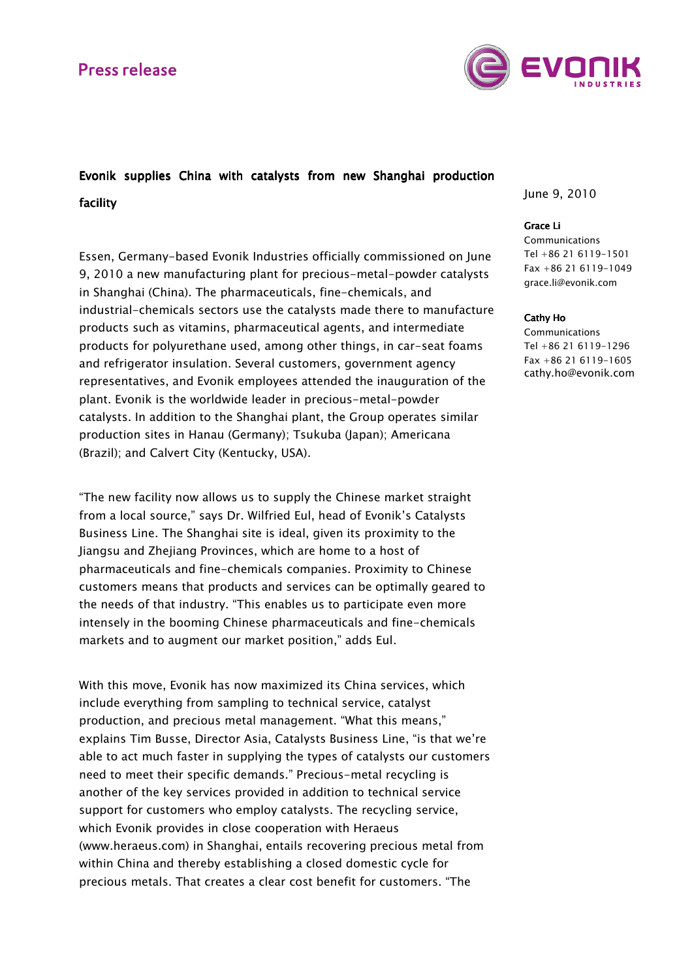## **Press release**



# Evonik supplies China with catalysts from new Shanghai production facility facility

Essen, Germany-based Evonik Industries officially commissioned on June 9, 2010 a new manufacturing plant for precious-metal-powder catalysts in Shanghai (China). The pharmaceuticals, fine-chemicals, and industrial-chemicals sectors use the catalysts made there to manufacture products such as vitamins, pharmaceutical agents, and intermediate products for polyurethane used, among other things, in car-seat foams and refrigerator insulation. Several customers, government agency representatives, and Evonik employees attended the inauguration of the plant. Evonik is the worldwide leader in precious-metal-powder catalysts. In addition to the Shanghai plant, the Group operates similar production sites in Hanau (Germany); Tsukuba (Japan); Americana (Brazil); and Calvert City (Kentucky, USA).

"The new facility now allows us to supply the Chinese market straight from a local source," says Dr. Wilfried Eul, head of Evonik's Catalysts Business Line. The Shanghai site is ideal, given its proximity to the Jiangsu and Zhejiang Provinces, which are home to a host of pharmaceuticals and fine-chemicals companies. Proximity to Chinese customers means that products and services can be optimally geared to the needs of that industry. "This enables us to participate even more intensely in the booming Chinese pharmaceuticals and fine-chemicals markets and to augment our market position," adds Eul.

With this move, Evonik has now maximized its China services, which include everything from sampling to technical service, catalyst production, and precious metal management. "What this means," explains Tim Busse, Director Asia, Catalysts Business Line, "is that we're able to act much faster in supplying the types of catalysts our customers need to meet their specific demands." Precious-metal recycling is another of the key services provided in addition to technical service support for customers who employ catalysts. The recycling service, which Evonik provides in close cooperation with Heraeus (www.heraeus.com) in Shanghai, entails recovering precious metal from within China and thereby establishing a closed domestic cycle for precious metals. That creates a clear cost benefit for customers. "The

June 9, 2010

### Grace Li

**Communications** Tel +86 21 6119-1501 Fax +86 21 6119-1049 grace.li@evonik.com

#### Cathy Ho

Communications Tel +86 21 6119-1296 Fax +86 21 6119-1605 cathy.ho@evonik.com